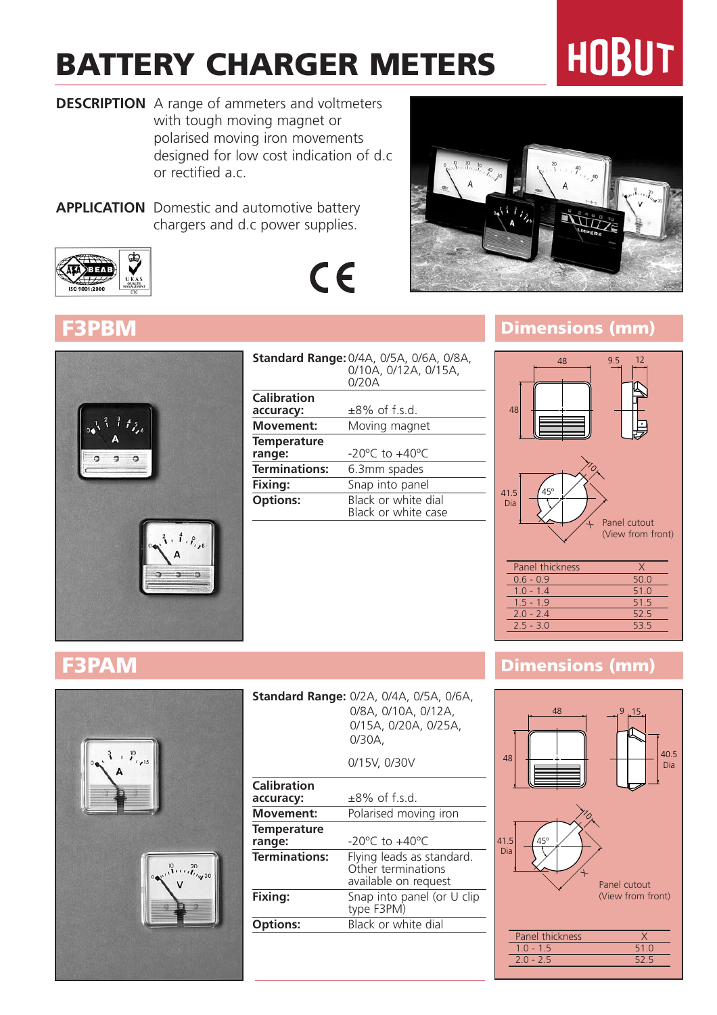# BATTERY CHARGER METERS

### **DESCRIPTION** A range of ammeters and voltmeters with tough moving magnet or polarised moving iron movements designed for low cost indication of d.c or rectified a.c.

**APPLICATION** Domestic and automotive battery chargers and d.c power supplies.



## $c\epsilon$



|                      | <b>Standard Range: 0/4A, 0/5A, 0/6A, 0/8A,</b><br>0/10A, 0/12A, 0/15A,<br>0/20A |
|----------------------|---------------------------------------------------------------------------------|
| <b>Calibration</b>   |                                                                                 |
| accuracy:            | $\pm 8\%$ of f.s.d.                                                             |
| <b>Movement:</b>     | Moving magnet                                                                   |
| <b>Temperature</b>   |                                                                                 |
| range:               | $-20^{\circ}$ C to $+40^{\circ}$ C                                              |
| <b>Terminations:</b> | 6.3mm spades                                                                    |
| Fixing:              | Snap into panel                                                                 |
| <b>Options:</b>      | Black or white dial<br>Black or white case                                      |
|                      |                                                                                 |

### F3PBM Dimensions (mm)





|                              | <b>Standard Range.</b> $0/2A$ , $0/4A$ , $0/3A$ , $0/0A$ ,<br>0/8A, 0/10A, 0/12A,<br>0/15A, 0/20A, 0/25A,<br>0/30A. |
|------------------------------|---------------------------------------------------------------------------------------------------------------------|
|                              | 0/15V, 0/30V                                                                                                        |
| Calibration<br>accuracy:     | ±8% of f.s.d.                                                                                                       |
| <b>Movement:</b>             | Polarised moving iron                                                                                               |
| <b>Temperature</b><br>range: | $-20^{\circ}$ C to $+40^{\circ}$ C                                                                                  |
| <b>Terminations:</b>         | Flying leads as standard.<br>Other terminations<br>available on request                                             |
| Fixing:                      | Snap into panel (or U clip<br>type F3PM)                                                                            |
| <b>Options:</b>              | Black or white dial                                                                                                 |

**Standard Range:** 0/2A, 0/4A, 0/5A, 0/6A,

### F3PAM Dimensions (mm)



# **HOBUT**

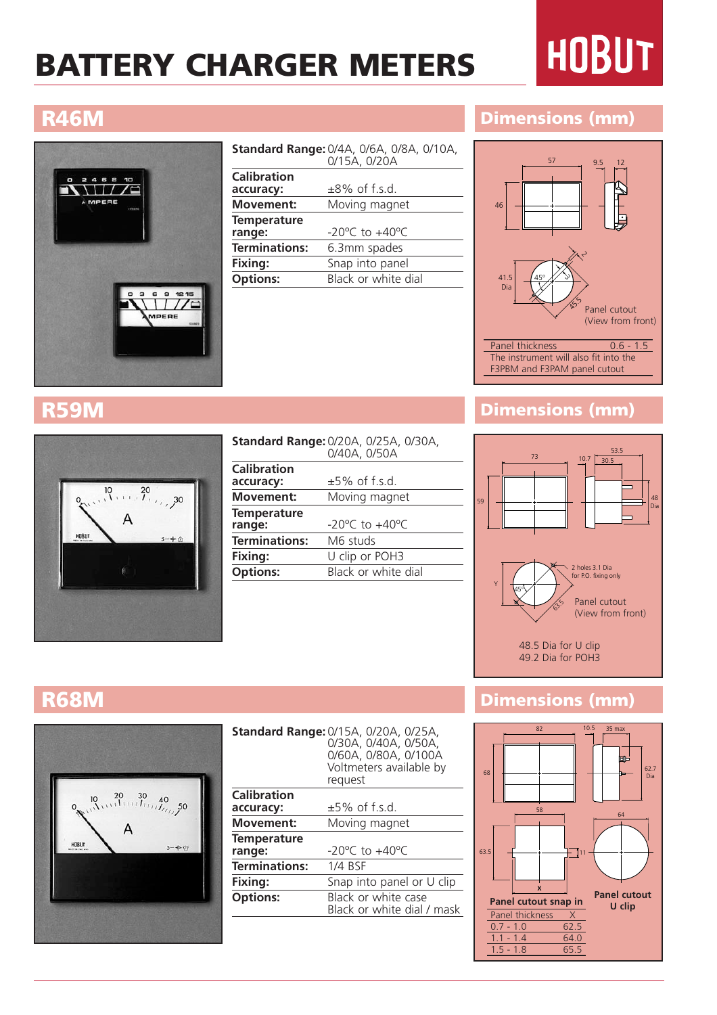# BATTERY CHARGER METERS

# HOBUT



|                      | <b>Standard Range: 0/4A, 0/6A, 0/8A, 0/10A,</b> |
|----------------------|-------------------------------------------------|
|                      | 0/15A, 0/20A                                    |
| <b>Calibration</b>   |                                                 |
| accuracy:            | $±8\%$ of f.s.d.                                |
| <b>Movement:</b>     | Moving magnet                                   |
| <b>Temperature</b>   |                                                 |
| range:               | $-20^{\circ}$ C to $+40^{\circ}$ C              |
| <b>Terminations:</b> | 6.3mm spades                                    |
| Fixing:              | Snap into panel                                 |
| <b>Options:</b>      | Black or white dial                             |
|                      |                                                 |

### R46M Dimensions (mm)





|                      | <b>Standard Range: 0/20A, 0/25A, 0/30A,</b><br>0/40A, 0/50A |
|----------------------|-------------------------------------------------------------|
| <b>Calibration</b>   |                                                             |
| accuracy:            | $\pm$ 5% of f.s.d.                                          |
| <b>Movement:</b>     | Moving magnet                                               |
| <b>Temperature</b>   |                                                             |
| range:               | -20°C to $+40^{\circ}$ C                                    |
| <b>Terminations:</b> | M6 studs                                                    |
| Fixing:              | U clip or POH3                                              |
| <b>Options:</b>      | Black or white dial                                         |
|                      |                                                             |

### R59M Dimensions (mm)





|                      | <b>Standard Range: 0/15A, 0/20A, 0/25A,</b><br>0/30A, 0/40A, 0/50A,<br>0/60A, 0/80A, 0/100A<br>Voltmeters available by<br>request |
|----------------------|-----------------------------------------------------------------------------------------------------------------------------------|
| Calibration          |                                                                                                                                   |
| accuracy:            | $±5\%$ of f.s.d.                                                                                                                  |
| <b>Movement:</b>     | Moving magnet                                                                                                                     |
| Temperature          |                                                                                                                                   |
| range:               | $-20^{\circ}$ C to $+40^{\circ}$ C                                                                                                |
| <b>Terminations:</b> | 1/4 BSF                                                                                                                           |
| Fixing:              | Snap into panel or U clip                                                                                                         |
| <b>Options:</b>      | Black or white case<br>Black or white dial / mask                                                                                 |
|                      |                                                                                                                                   |

### R68M Dimensions (mm)